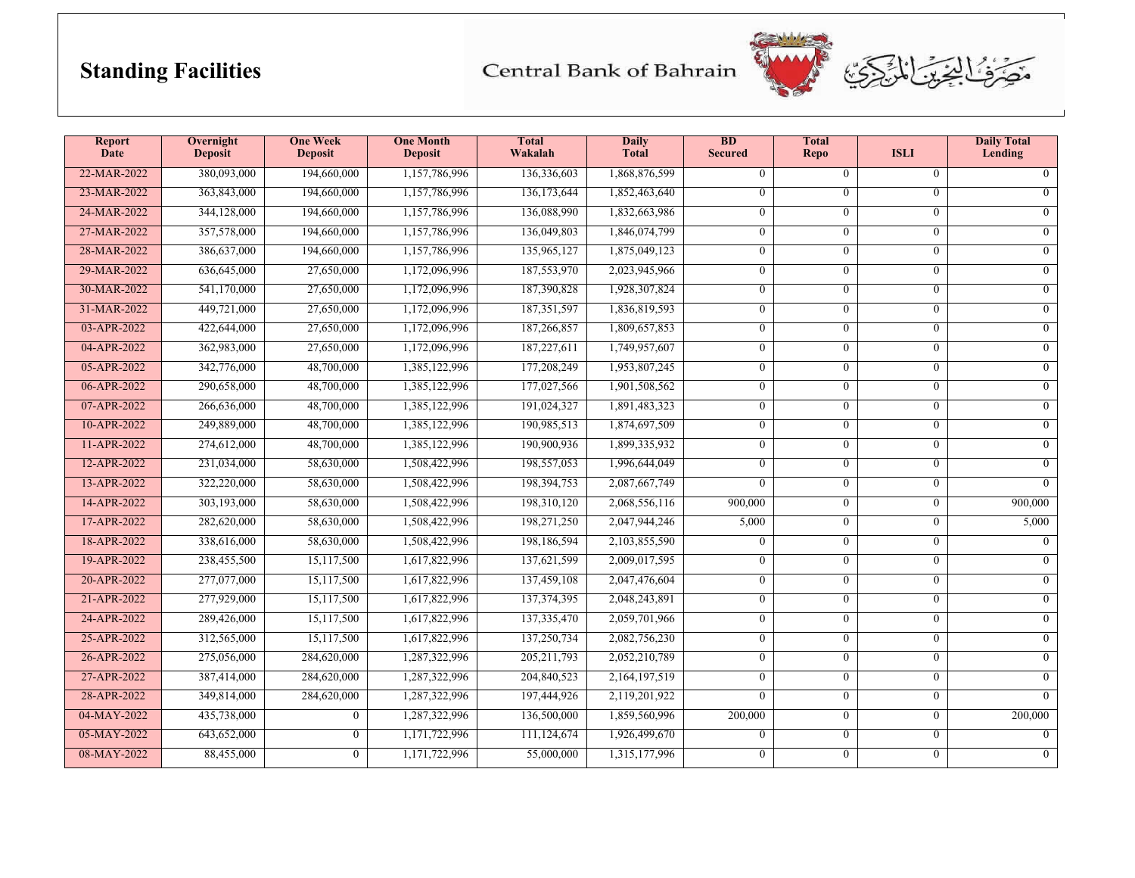## **Standing Facilities**

Central Bank of Bahrain



| <b>Report</b><br><b>Date</b> | Overnight<br>Deposit | <b>One Week</b><br><b>Deposit</b> | <b>One Month</b><br><b>Deposit</b> | <b>Total</b><br>Wakalah | <b>Daily</b><br><b>Total</b> | BD<br><b>Secured</b> | <b>Total</b><br><b>Repo</b> | <b>ISLI</b>    | <b>Daily Total</b><br>Lending |
|------------------------------|----------------------|-----------------------------------|------------------------------------|-------------------------|------------------------------|----------------------|-----------------------------|----------------|-------------------------------|
| 22-MAR-2022                  | 380,093,000          | 194,660,000                       | 1,157,786,996                      | 136,336,603             | 1,868,876,599                | $\mathbf{0}$         | $\theta$                    | $\overline{0}$ | $\overline{0}$                |
| 23-MAR-2022                  | 363,843,000          | 194,660,000                       | 1,157,786,996                      | 136,173,644             | 1,852,463,640                | $\theta$             | $\theta$                    | $\Omega$       | $\overline{0}$                |
| 24-MAR-2022                  | 344,128,000          | 194,660,000                       | 1,157,786,996                      | 136,088,990             | 1,832,663,986                | $\mathbf{0}$         | $\theta$                    | $\mathbf{0}$   | $\overline{0}$                |
| 27-MAR-2022                  | 357,578,000          | 194,660,000                       | 1,157,786,996                      | 136,049,803             | 1,846,074,799                | $\mathbf{0}$         | $\theta$                    | $\mathbf{0}$   | $\overline{0}$                |
| 28-MAR-2022                  | 386,637,000          | 194,660,000                       | 1,157,786,996                      | 135,965,127             | 1,875,049,123                | $\overline{0}$       | $\overline{0}$              | $\overline{0}$ | $\overline{0}$                |
| 29-MAR-2022                  | 636,645,000          | 27,650,000                        | 1,172,096,996                      | 187,553,970             | 2,023,945,966                | $\mathbf{0}$         | $\theta$                    | $\mathbf{0}$   | $\overline{0}$                |
| 30-MAR-2022                  | 541,170,000          | 27,650,000                        | 1,172,096,996                      | 187,390,828             | 1,928,307,824                | $\overline{0}$       | $\overline{0}$              | $\overline{0}$ | $\overline{0}$                |
| 31-MAR-2022                  | 449,721,000          | 27,650,000                        | 1,172,096,996                      | 187, 351, 597           | 1,836,819,593                | $\mathbf{0}$         | $\overline{0}$              | $\overline{0}$ | $\overline{0}$                |
| 03-APR-2022                  | 422,644,000          | 27,650,000                        | 1,172,096,996                      | 187,266,857             | 1,809,657,853                | $\overline{0}$       | $\overline{0}$              | $\overline{0}$ | $\overline{0}$                |
| 04-APR-2022                  | 362,983,000          | 27,650,000                        | 1,172,096,996                      | 187,227,611             | 1,749,957,607                | $\overline{0}$       | $\theta$                    | $\mathbf{0}$   | $\overline{0}$                |
| 05-APR-2022                  | 342,776,000          | 48,700,000                        | 1,385,122,996                      | 177,208,249             | 1,953,807,245                | $\overline{0}$       | $\Omega$                    | $\mathbf{0}$   | $\overline{0}$                |
| 06-APR-2022                  | 290,658,000          | 48,700,000                        | 1,385,122,996                      | 177,027,566             | 1,901,508,562                | $\mathbf{0}$         | $\theta$                    | $\mathbf{0}$   | $\overline{0}$                |
| 07-APR-2022                  | 266,636,000          | 48,700,000                        | 1,385,122,996                      | 191,024,327             | 1,891,483,323                | $\mathbf{0}$         | $\theta$                    | $\overline{0}$ | $\overline{0}$                |
| 10-APR-2022                  | 249,889,000          | 48,700,000                        | 1,385,122,996                      | 190,985,513             | 1,874,697,509                | $\mathbf{0}$         | $\theta$                    | $\mathbf{0}$   | $\overline{0}$                |
| 11-APR-2022                  | 274,612,000          | 48,700,000                        | 1,385,122,996                      | 190,900,936             | 1,899,335,932                | $\mathbf{0}$         | $\overline{0}$              | $\mathbf{0}$   | $\overline{0}$                |
| 12-APR-2022                  | 231,034,000          | 58,630,000                        | 1,508,422,996                      | 198,557,053             | 1,996,644,049                | $\overline{0}$       | $\overline{0}$              | $\overline{0}$ | $\overline{0}$                |
| 13-APR-2022                  | 322,220,000          | 58,630,000                        | 1,508,422,996                      | 198,394,753             | 2,087,667,749                | $\theta$             | $\theta$                    | $\mathbf{0}$   | $\overline{0}$                |
| 14-APR-2022                  | 303,193,000          | 58,630,000                        | 1,508,422,996                      | 198,310,120             | 2,068,556,116                | 900,000              | $\overline{0}$              | $\overline{0}$ | 900,000                       |
| 17-APR-2022                  | 282,620,000          | 58,630,000                        | 1,508,422,996                      | 198,271,250             | 2,047,944,246                | 5,000                | $\overline{0}$              | $\overline{0}$ | 5,000                         |
| 18-APR-2022                  | 338,616,000          | 58,630,000                        | 1,508,422,996                      | 198,186,594             | 2,103,855,590                | $\mathbf{0}$         | $\overline{0}$              | $\overline{0}$ | $\overline{0}$                |
| 19-APR-2022                  | 238,455,500          | 15,117,500                        | 1,617,822,996                      | 137,621,599             | 2,009,017,595                | $\overline{0}$       | $\theta$                    | $\overline{0}$ | $\overline{0}$                |
| 20-APR-2022                  | 277,077,000          | 15,117,500                        | 1,617,822,996                      | 137,459,108             | 2,047,476,604                | $\overline{0}$       | $\overline{0}$              | $\mathbf{0}$   | $\overline{0}$                |
| 21-APR-2022                  | 277,929,000          | 15,117,500                        | 1,617,822,996                      | 137, 374, 395           | 2,048,243,891                | $\mathbf{0}$         | $\theta$                    | $\mathbf{0}$   | $\overline{0}$                |
| 24-APR-2022                  | 289,426,000          | 15,117,500                        | 1,617,822,996                      | 137,335,470             | 2,059,701,966                | $\theta$             | $\theta$                    | $\Omega$       | $\overline{0}$                |
| 25-APR-2022                  | 312,565,000          | 15,117,500                        | 1,617,822,996                      | 137,250,734             | 2,082,756,230                | $\mathbf{0}$         | $\theta$                    | $\mathbf{0}$   | $\overline{0}$                |
| 26-APR-2022                  | 275,056,000          | 284,620,000                       | 1,287,322,996                      | 205, 211, 793           | 2,052,210,789                | $\mathbf{0}$         | $\theta$                    | $\mathbf{0}$   | $\Omega$                      |
| 27-APR-2022                  | 387,414,000          | 284,620,000                       | 1,287,322,996                      | 204,840,523             | 2,164,197,519                | $\overline{0}$       | $\overline{0}$              | $\overline{0}$ | $\overline{0}$                |
| 28-APR-2022                  | 349,814,000          | 284,620,000                       | 1,287,322,996                      | 197,444,926             | 2,119,201,922                | $\theta$             | $\theta$                    | $\mathbf{0}$   | $\overline{0}$                |
| 04-MAY-2022                  | 435,738,000          | $\overline{0}$                    | 1,287,322,996                      | 136,500,000             | 1,859,560,996                | 200,000              | $\overline{0}$              | $\Omega$       | 200,000                       |
| 05-MAY-2022                  | 643,652,000          | $\overline{0}$                    | 1,171,722,996                      | 111,124,674             | 1,926,499,670                | $\mathbf{0}$         | $\theta$                    | $\overline{0}$ | $\overline{0}$                |
| 08-MAY-2022                  | 88,455,000           | $\overline{0}$                    | 1,171,722,996                      | 55,000,000              | 1,315,177,996                | $\mathbf{0}$         | $\overline{0}$              | $\overline{0}$ | $\overline{0}$                |